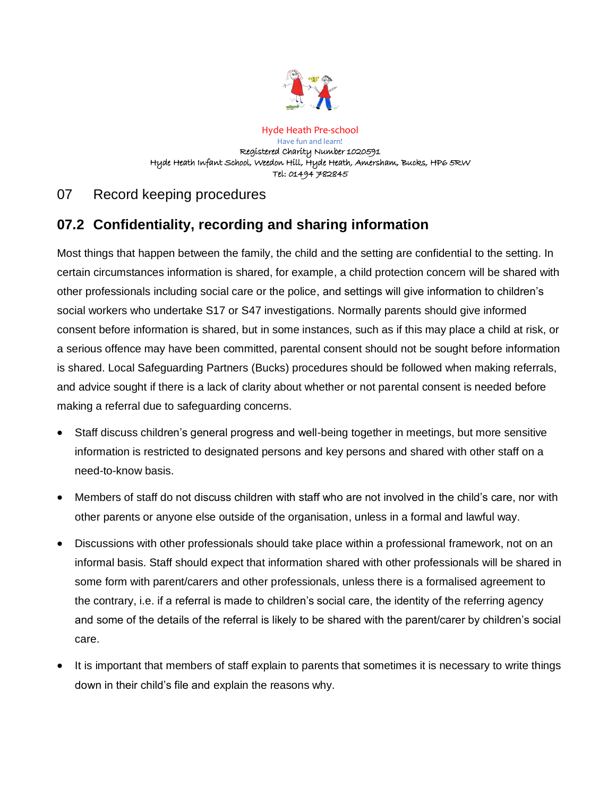

Hyde Heath Pre-school Have fun and learn! Registered Charity Number 1020591 Hyde Heath Infant School, Weedon Hill, Hyde Heath, Amersham, Bucks, HP6 5RW Tel: 01494 782845

# 07 Record keeping procedures

# **07.2 Confidentiality, recording and sharing information**

Most things that happen between the family, the child and the setting are confidential to the setting. In certain circumstances information is shared, for example, a child protection concern will be shared with other professionals including social care or the police, and settings will give information to children's social workers who undertake S17 or S47 investigations. Normally parents should give informed consent before information is shared, but in some instances, such as if this may place a child at risk, or a serious offence may have been committed, parental consent should not be sought before information is shared. Local Safeguarding Partners (Bucks) procedures should be followed when making referrals, and advice sought if there is a lack of clarity about whether or not parental consent is needed before making a referral due to safeguarding concerns.

- Staff discuss children's general progress and well-being together in meetings, but more sensitive information is restricted to designated persons and key persons and shared with other staff on a need-to-know basis.
- Members of staff do not discuss children with staff who are not involved in the child's care, nor with other parents or anyone else outside of the organisation, unless in a formal and lawful way.
- Discussions with other professionals should take place within a professional framework, not on an informal basis. Staff should expect that information shared with other professionals will be shared in some form with parent/carers and other professionals, unless there is a formalised agreement to the contrary, i.e. if a referral is made to children's social care, the identity of the referring agency and some of the details of the referral is likely to be shared with the parent/carer by children's social care.
- It is important that members of staff explain to parents that sometimes it is necessary to write things down in their child's file and explain the reasons why.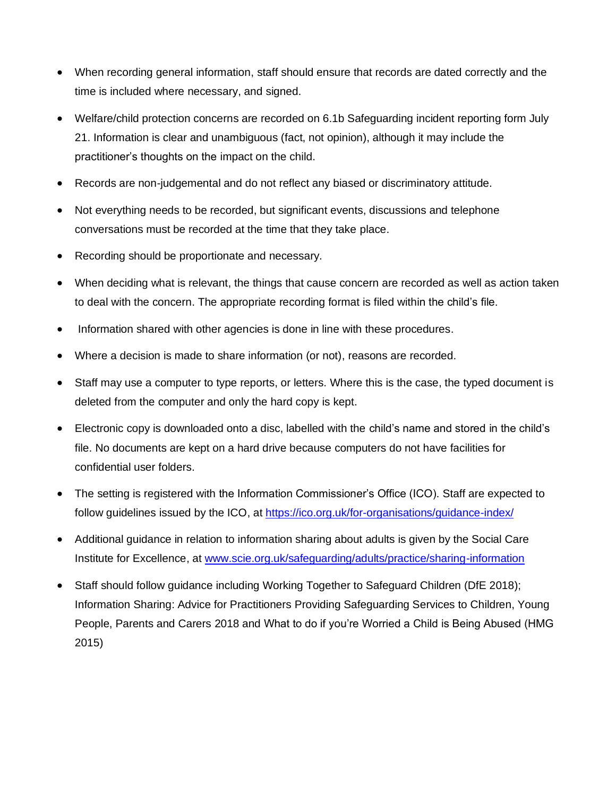- When recording general information, staff should ensure that records are dated correctly and the time is included where necessary, and signed.
- Welfare/child protection concerns are recorded on 6.1b Safeguarding incident reporting form July 21. Information is clear and unambiguous (fact, not opinion), although it may include the practitioner's thoughts on the impact on the child.
- Records are non-judgemental and do not reflect any biased or discriminatory attitude.
- Not everything needs to be recorded, but significant events, discussions and telephone conversations must be recorded at the time that they take place.
- Recording should be proportionate and necessary.
- When deciding what is relevant, the things that cause concern are recorded as well as action taken to deal with the concern. The appropriate recording format is filed within the child's file.
- Information shared with other agencies is done in line with these procedures.
- Where a decision is made to share information (or not), reasons are recorded.
- Staff may use a computer to type reports, or letters. Where this is the case, the typed document is deleted from the computer and only the hard copy is kept.
- Electronic copy is downloaded onto a disc, labelled with the child's name and stored in the child's file. No documents are kept on a hard drive because computers do not have facilities for confidential user folders.
- The setting is registered with the Information Commissioner's Office (ICO). Staff are expected to follow guidelines issued by the ICO, at <https://ico.org.uk/for-organisations/guidance-index/>
- Additional guidance in relation to information sharing about adults is given by the Social Care Institute for Excellence, at [www.scie.org.uk/safeguarding/adults/practice/sharing-information](http://www.scie.org.uk/safeguarding/adults/practice/sharing-information)
- Staff should follow guidance including Working Together to Safeguard Children (DfE 2018); Information Sharing: Advice for Practitioners Providing Safeguarding Services to Children, Young People, Parents and Carers 2018 and What to do if you're Worried a Child is Being Abused (HMG 2015)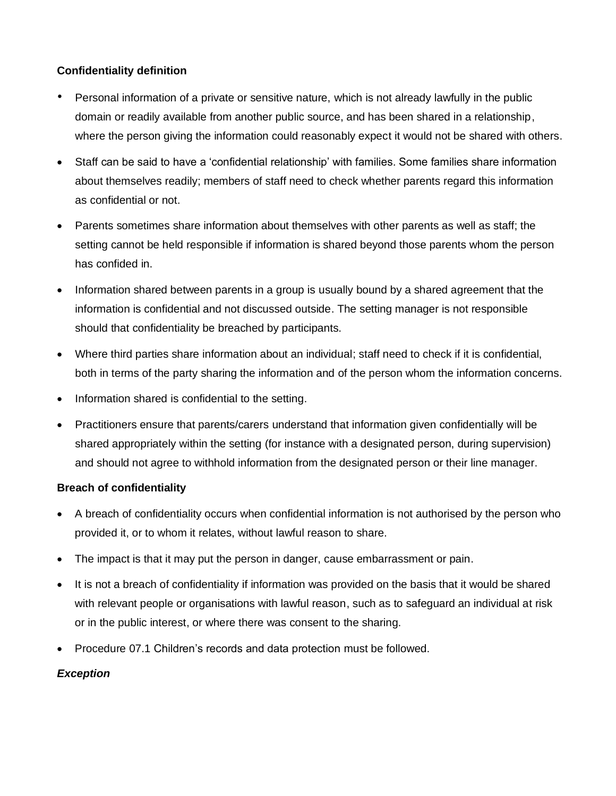# **Confidentiality definition**

- Personal information of a private or sensitive nature, which is not already lawfully in the public domain or readily available from another public source, and has been shared in a relationship, where the person giving the information could reasonably expect it would not be shared with others.
- Staff can be said to have a 'confidential relationship' with families. Some families share information about themselves readily; members of staff need to check whether parents regard this information as confidential or not.
- Parents sometimes share information about themselves with other parents as well as staff; the setting cannot be held responsible if information is shared beyond those parents whom the person has confided in.
- Information shared between parents in a group is usually bound by a shared agreement that the information is confidential and not discussed outside. The setting manager is not responsible should that confidentiality be breached by participants.
- Where third parties share information about an individual; staff need to check if it is confidential, both in terms of the party sharing the information and of the person whom the information concerns.
- Information shared is confidential to the setting.
- Practitioners ensure that parents/carers understand that information given confidentially will be shared appropriately within the setting (for instance with a designated person, during supervision) and should not agree to withhold information from the designated person or their line manager.

## **Breach of confidentiality**

- A breach of confidentiality occurs when confidential information is not authorised by the person who provided it, or to whom it relates, without lawful reason to share.
- The impact is that it may put the person in danger, cause embarrassment or pain.
- It is not a breach of confidentiality if information was provided on the basis that it would be shared with relevant people or organisations with lawful reason, such as to safeguard an individual at risk or in the public interest, or where there was consent to the sharing.
- Procedure 07.1 Children's records and data protection must be followed.

## *Exception*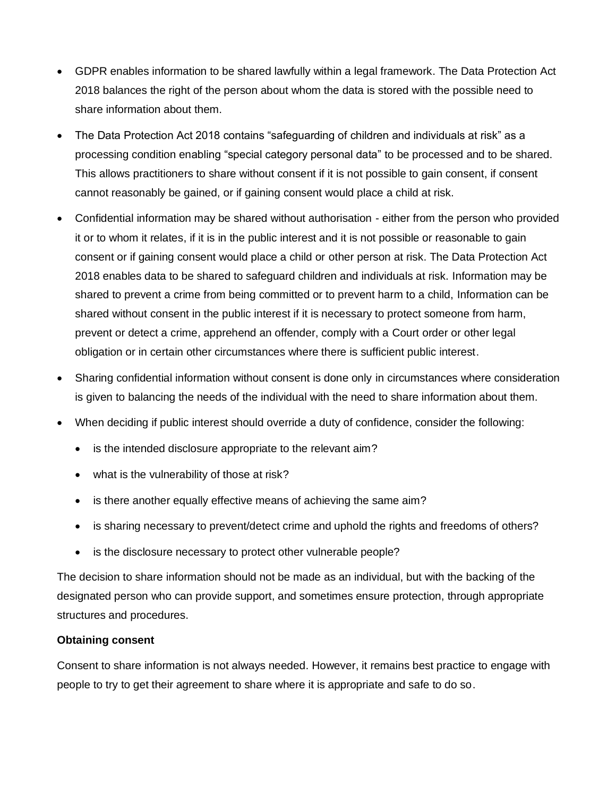- GDPR enables information to be shared lawfully within a legal framework. The Data Protection Act 2018 balances the right of the person about whom the data is stored with the possible need to share information about them.
- The Data Protection Act 2018 contains "safeguarding of children and individuals at risk" as a processing condition enabling "special category personal data" to be processed and to be shared. This allows practitioners to share without consent if it is not possible to gain consent, if consent cannot reasonably be gained, or if gaining consent would place a child at risk.
- Confidential information may be shared without authorisation either from the person who provided it or to whom it relates, if it is in the public interest and it is not possible or reasonable to gain consent or if gaining consent would place a child or other person at risk. The Data Protection Act 2018 enables data to be shared to safeguard children and individuals at risk. Information may be shared to prevent a crime from being committed or to prevent harm to a child, Information can be shared without consent in the public interest if it is necessary to protect someone from harm, prevent or detect a crime, apprehend an offender, comply with a Court order or other legal obligation or in certain other circumstances where there is sufficient public interest.
- Sharing confidential information without consent is done only in circumstances where consideration is given to balancing the needs of the individual with the need to share information about them.
- When deciding if public interest should override a duty of confidence, consider the following:
	- is the intended disclosure appropriate to the relevant aim?
	- what is the vulnerability of those at risk?
	- is there another equally effective means of achieving the same aim?
	- is sharing necessary to prevent/detect crime and uphold the rights and freedoms of others?
	- is the disclosure necessary to protect other vulnerable people?

The decision to share information should not be made as an individual, but with the backing of the designated person who can provide support, and sometimes ensure protection, through appropriate structures and procedures.

### **Obtaining consent**

Consent to share information is not always needed. However, it remains best practice to engage with people to try to get their agreement to share where it is appropriate and safe to do so.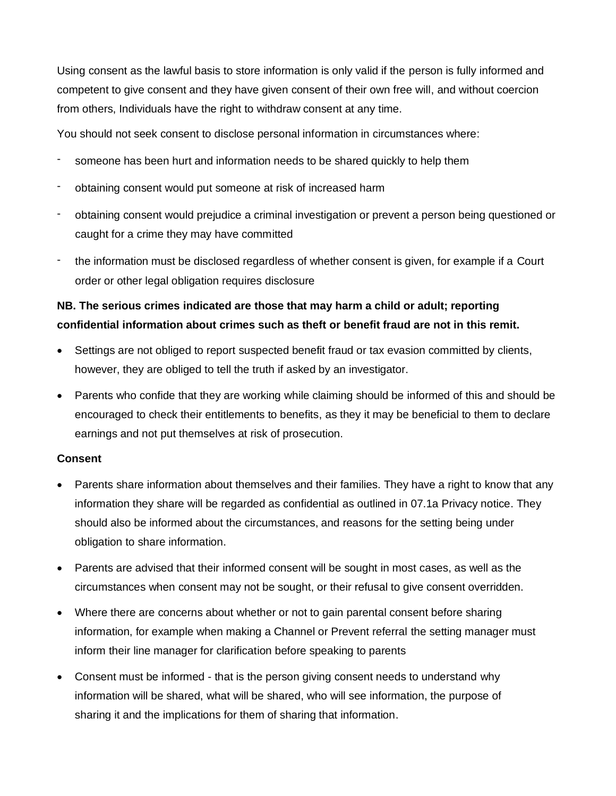Using consent as the lawful basis to store information is only valid if the person is fully informed and competent to give consent and they have given consent of their own free will, and without coercion from others, Individuals have the right to withdraw consent at any time.

You should not seek consent to disclose personal information in circumstances where:

- someone has been hurt and information needs to be shared quickly to help them
- obtaining consent would put someone at risk of increased harm
- obtaining consent would prejudice a criminal investigation or prevent a person being questioned or caught for a crime they may have committed
- the information must be disclosed regardless of whether consent is given, for example if a Court order or other legal obligation requires disclosure

# **NB. The serious crimes indicated are those that may harm a child or adult; reporting confidential information about crimes such as theft or benefit fraud are not in this remit.**

- Settings are not obliged to report suspected benefit fraud or tax evasion committed by clients, however, they are obliged to tell the truth if asked by an investigator.
- Parents who confide that they are working while claiming should be informed of this and should be encouraged to check their entitlements to benefits, as they it may be beneficial to them to declare earnings and not put themselves at risk of prosecution.

### **Consent**

- Parents share information about themselves and their families. They have a right to know that any information they share will be regarded as confidential as outlined in 07.1a Privacy notice. They should also be informed about the circumstances, and reasons for the setting being under obligation to share information.
- Parents are advised that their informed consent will be sought in most cases, as well as the circumstances when consent may not be sought, or their refusal to give consent overridden.
- Where there are concerns about whether or not to gain parental consent before sharing information, for example when making a Channel or Prevent referral the setting manager must inform their line manager for clarification before speaking to parents
- Consent must be informed that is the person giving consent needs to understand why information will be shared, what will be shared, who will see information, the purpose of sharing it and the implications for them of sharing that information.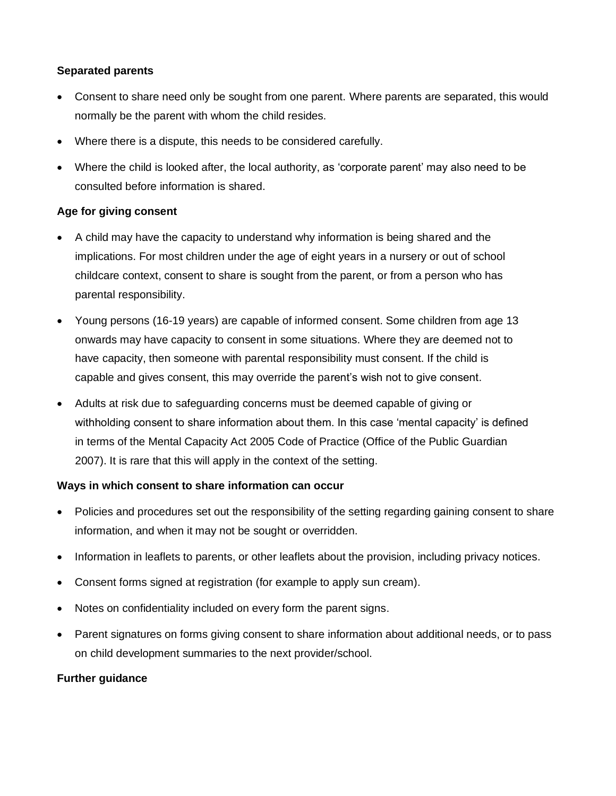### **Separated parents**

- Consent to share need only be sought from one parent. Where parents are separated, this would normally be the parent with whom the child resides.
- Where there is a dispute, this needs to be considered carefully.
- Where the child is looked after, the local authority, as 'corporate parent' may also need to be consulted before information is shared.

## **Age for giving consent**

- A child may have the capacity to understand why information is being shared and the implications. For most children under the age of eight years in a nursery or out of school childcare context, consent to share is sought from the parent, or from a person who has parental responsibility.
- Young persons (16-19 years) are capable of informed consent. Some children from age 13 onwards may have capacity to consent in some situations. Where they are deemed not to have capacity, then someone with parental responsibility must consent. If the child is capable and gives consent, this may override the parent's wish not to give consent.
- Adults at risk due to safeguarding concerns must be deemed capable of giving or withholding consent to share information about them. In this case 'mental capacity' is defined in terms of the Mental Capacity Act 2005 Code of Practice (Office of the Public Guardian 2007). It is rare that this will apply in the context of the setting.

### **Ways in which consent to share information can occur**

- Policies and procedures set out the responsibility of the setting regarding gaining consent to share information, and when it may not be sought or overridden.
- Information in leaflets to parents, or other leaflets about the provision, including privacy notices.
- Consent forms signed at registration (for example to apply sun cream).
- Notes on confidentiality included on every form the parent signs.
- Parent signatures on forms giving consent to share information about additional needs, or to pass on child development summaries to the next provider/school.

### **Further guidance**